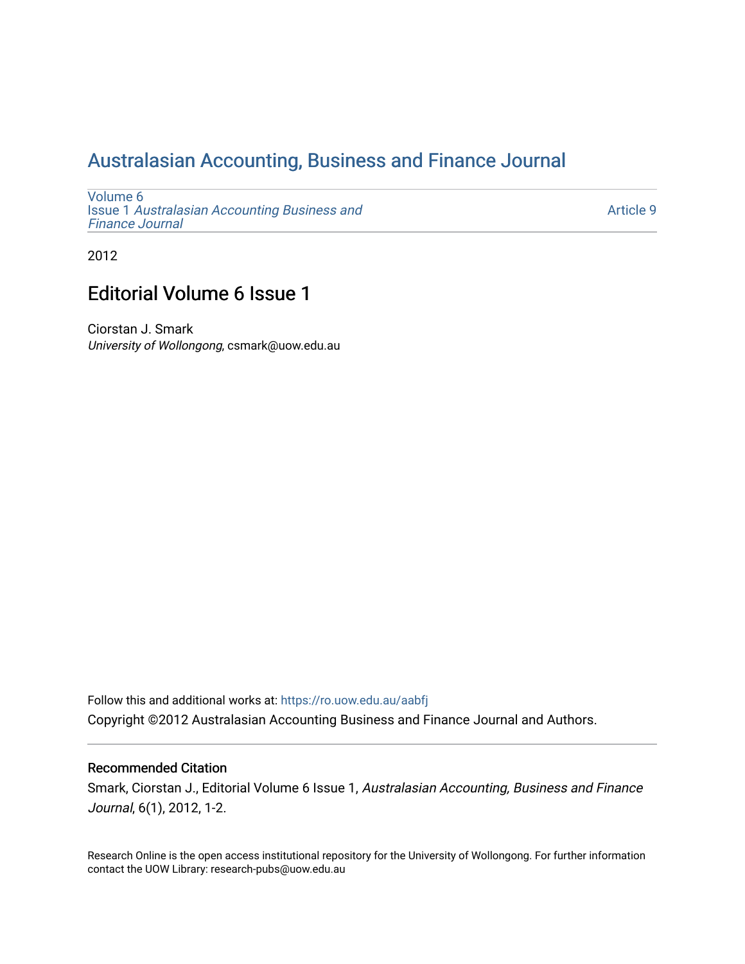## [Australasian Accounting, Business and Finance Journal](https://ro.uow.edu.au/aabfj)

[Volume 6](https://ro.uow.edu.au/aabfj/vol6) Issue 1 [Australasian Accounting Business and](https://ro.uow.edu.au/aabfj/vol6/iss1) [Finance Journal](https://ro.uow.edu.au/aabfj/vol6/iss1) 

[Article 9](https://ro.uow.edu.au/aabfj/vol6/iss1/9) 

2012

## Editorial Volume 6 Issue 1

Ciorstan J. Smark University of Wollongong, csmark@uow.edu.au

Follow this and additional works at: [https://ro.uow.edu.au/aabfj](https://ro.uow.edu.au/aabfj?utm_source=ro.uow.edu.au%2Faabfj%2Fvol6%2Fiss1%2F9&utm_medium=PDF&utm_campaign=PDFCoverPages) Copyright ©2012 Australasian Accounting Business and Finance Journal and Authors.

#### Recommended Citation

Smark, Ciorstan J., Editorial Volume 6 Issue 1, Australasian Accounting, Business and Finance Journal, 6(1), 2012, 1-2.

Research Online is the open access institutional repository for the University of Wollongong. For further information contact the UOW Library: research-pubs@uow.edu.au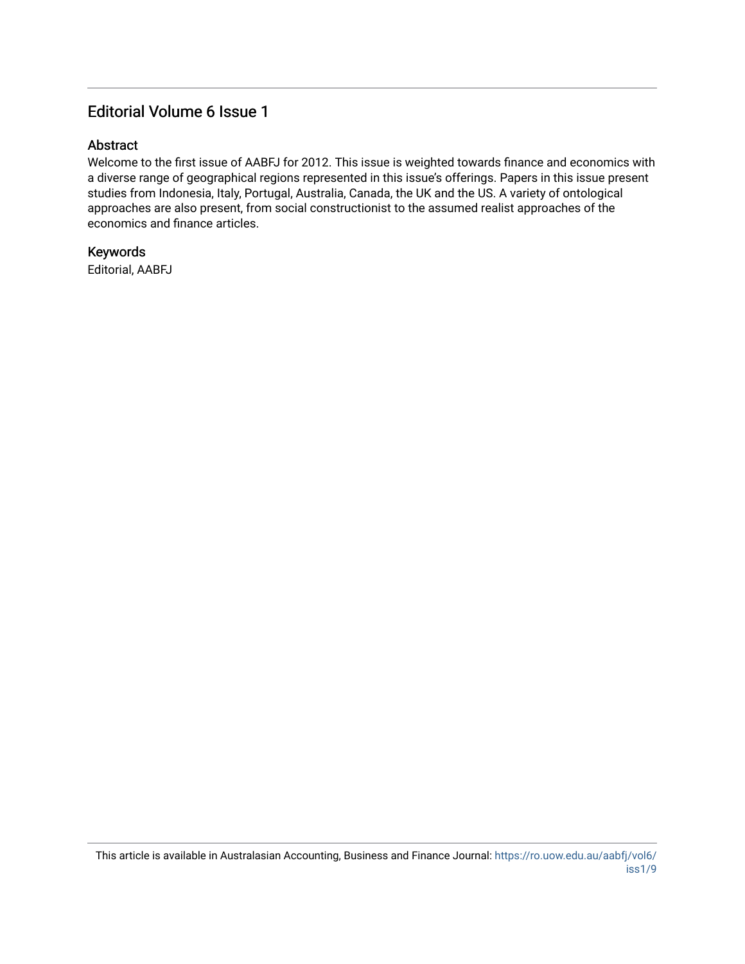### Editorial Volume 6 Issue 1

#### Abstract

Welcome to the first issue of AABFJ for 2012. This issue is weighted towards finance and economics with a diverse range of geographical regions represented in this issue's offerings. Papers in this issue present studies from Indonesia, Italy, Portugal, Australia, Canada, the UK and the US. A variety of ontological approaches are also present, from social constructionist to the assumed realist approaches of the economics and finance articles.

#### Keywords

Editorial, AABFJ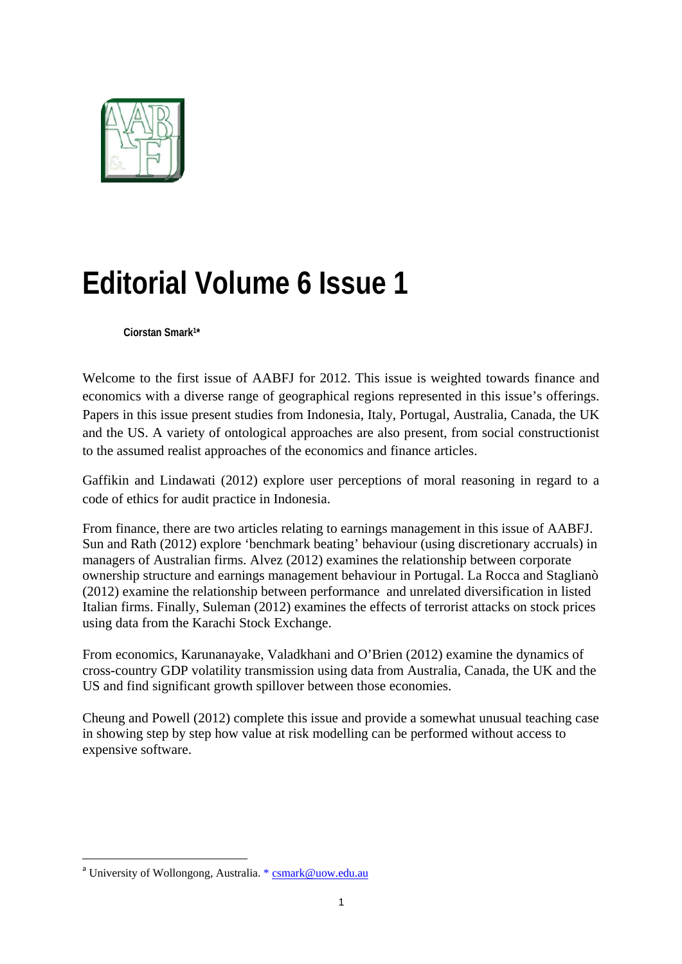

# **Editorial Volume 6 Issue 1**

**Ciorstan Smark1\*** 

Welcome to the first issue of AABFJ for 2012. This issue is weighted towards finance and economics with a diverse range of geographical regions represented in this issue's offerings. Papers in this issue present studies from Indonesia, Italy, Portugal, Australia, Canada, the UK and the US. A variety of ontological approaches are also present, from social constructionist to the assumed realist approaches of the economics and finance articles.

Gaffikin and Lindawati (2012) explore user perceptions of moral reasoning in regard to a code of ethics for audit practice in Indonesia.

From finance, there are two articles relating to earnings management in this issue of AABFJ. Sun and Rath (2012) explore 'benchmark beating' behaviour (using discretionary accruals) in managers of Australian firms. Alvez (2012) examines the relationship between corporate ownership structure and earnings management behaviour in Portugal. La Rocca and Staglianò (2012) examine the relationship between performance and unrelated diversification in listed Italian firms. Finally, Suleman (2012) examines the effects of terrorist attacks on stock prices using data from the Karachi Stock Exchange.

From economics, Karunanayake, Valadkhani and O'Brien (2012) examine the dynamics of cross-country GDP volatility transmission using data from Australia, Canada, the UK and the US and find significant growth spillover between those economies.

Cheung and Powell (2012) complete this issue and provide a somewhat unusual teaching case in showing step by step how value at risk modelling can be performed without access to expensive software.

<sup>&</sup>lt;sup>a</sup> University of Wollongong, Australia. \* csmark@uow.edu.au